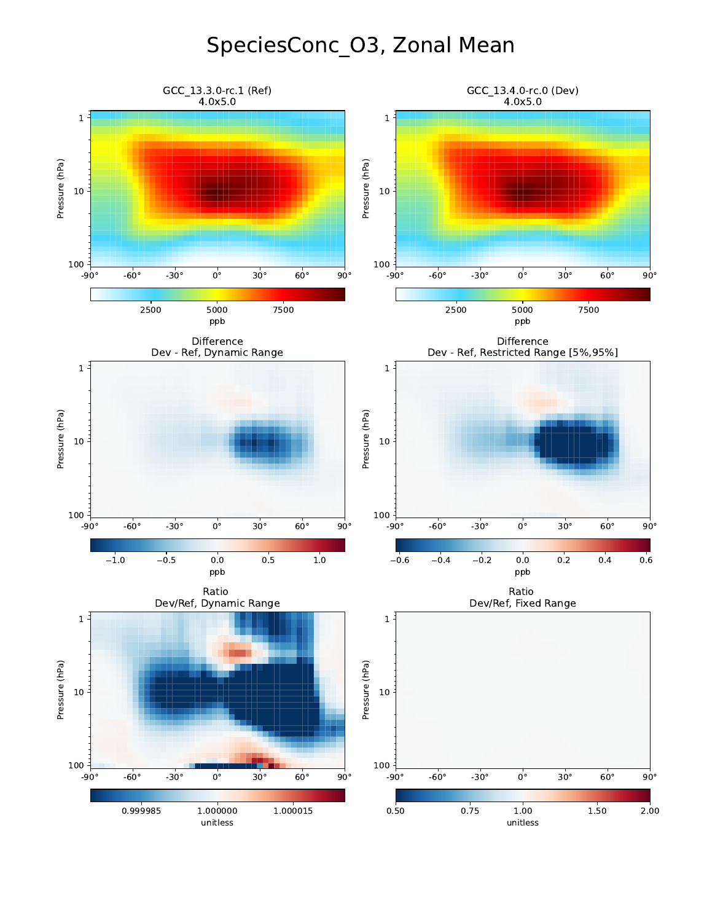## SpeciesConc\_O3, Zonal Mean

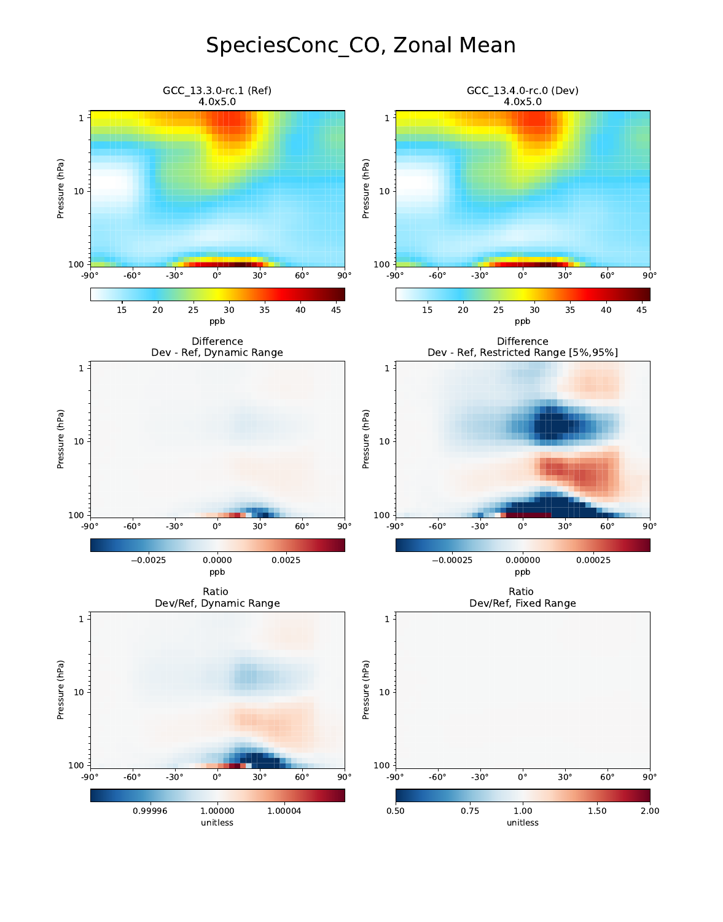## SpeciesConc\_CO, Zonal Mean

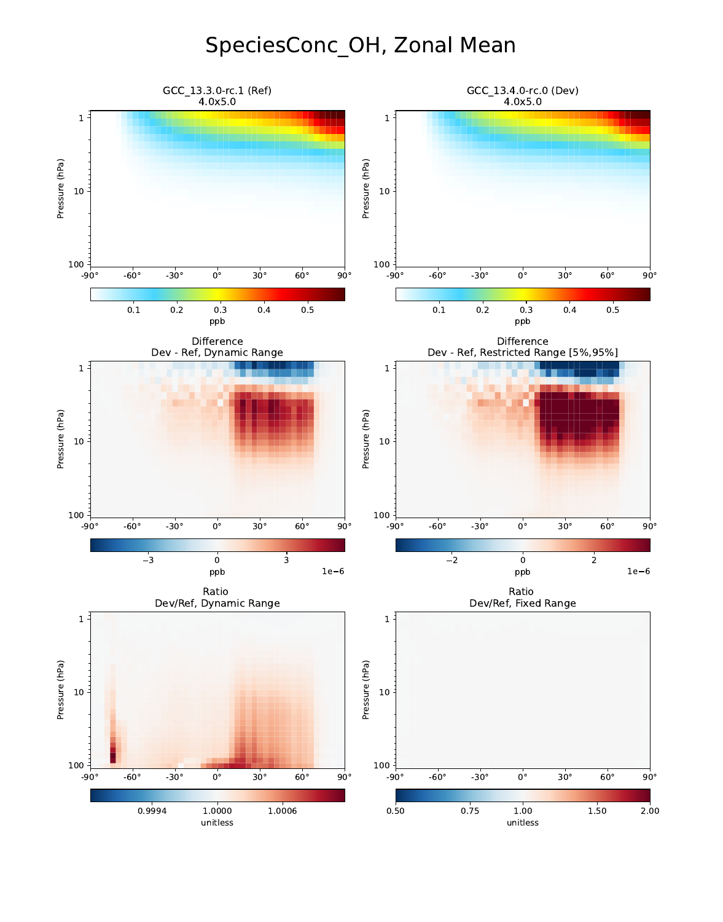## SpeciesConc\_OH, Zonal Mean